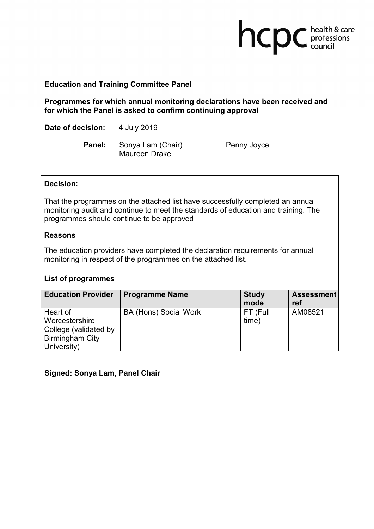# **Education and Training Committee Panel**

**Programmes for which annual monitoring declarations have been received and for which the Panel is asked to confirm continuing approval**

**Date of decision:** 4 July 2019

Panel: Sonya Lam (Chair) Penny Joyce Maureen Drake

**health & care** 

## **Decision:**

That the programmes on the attached list have successfully completed an annual monitoring audit and continue to meet the standards of education and training. The programmes should continue to be approved

### **Reasons**

The education providers have completed the declaration requirements for annual monitoring in respect of the programmes on the attached list.

### **List of programmes**

| <b>Education Provider</b> | <b>Programme Name</b> | <b>Study</b><br>mode | <b>Assessment</b><br>ref |
|---------------------------|-----------------------|----------------------|--------------------------|
| Heart of                  | BA (Hons) Social Work | FT (Full             | AM08521                  |
| Worcestershire            |                       | time)                |                          |
| College (validated by     |                       |                      |                          |
| <b>Birmingham City</b>    |                       |                      |                          |
| University)               |                       |                      |                          |

## **Signed: Sonya Lam, Panel Chair**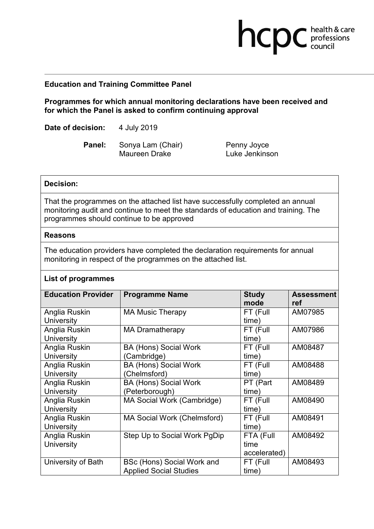# **Education and Training Committee Panel**

**Programmes for which annual monitoring declarations have been received and for which the Panel is asked to confirm continuing approval**

**Date of decision:** 4 July 2019

**Panel:** Sonya Lam (Chair) Penny Joyce Maureen Drake Luke Jenkinson

**health & care** 

### **Decision:**

That the programmes on the attached list have successfully completed an annual monitoring audit and continue to meet the standards of education and training. The programmes should continue to be approved

#### **Reasons**

The education providers have completed the declaration requirements for annual monitoring in respect of the programmes on the attached list.

### **List of programmes**

| <b>Education Provider</b> | <b>Programme Name</b>         | <b>Study</b> | <b>Assessment</b> |
|---------------------------|-------------------------------|--------------|-------------------|
|                           |                               | mode         | ref               |
| Anglia Ruskin             | <b>MA Music Therapy</b>       | FT (Full     | AM07985           |
| <b>University</b>         |                               | time)        |                   |
| Anglia Ruskin             | <b>MA Dramatherapy</b>        | FT (Full     | AM07986           |
| <b>University</b>         |                               | time)        |                   |
| Anglia Ruskin             | <b>BA (Hons) Social Work</b>  | FT (Full     | AM08487           |
| University                | (Cambridge)                   | time)        |                   |
| Anglia Ruskin             | <b>BA (Hons) Social Work</b>  | FT (Full     | AM08488           |
| <b>University</b>         | (Chelmsford)                  | time)        |                   |
| Anglia Ruskin             | <b>BA (Hons) Social Work</b>  | PT (Part     | AM08489           |
| <b>University</b>         | (Peterborough)                | time)        |                   |
| Anglia Ruskin             | MA Social Work (Cambridge)    | FT (Full     | AM08490           |
| <b>University</b>         |                               | time)        |                   |
| Anglia Ruskin             | MA Social Work (Chelmsford)   | FT (Full     | AM08491           |
| <b>University</b>         |                               | time)        |                   |
| Anglia Ruskin             | Step Up to Social Work PgDip  | FTA (Full    | AM08492           |
| University                |                               | time         |                   |
|                           |                               | accelerated) |                   |
| University of Bath        | BSc (Hons) Social Work and    | FT (Full     | AM08493           |
|                           | <b>Applied Social Studies</b> | time)        |                   |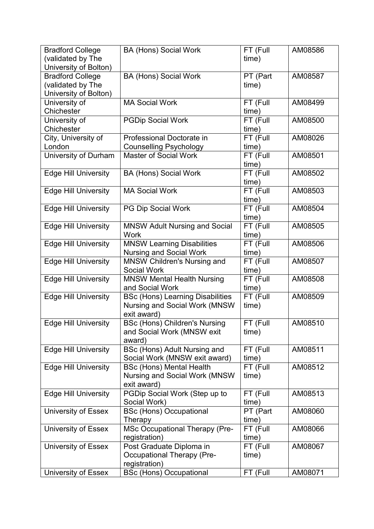| <b>Bradford College</b>                    | <b>BA (Hons) Social Work</b>                                            | FT (Full          | AM08586 |
|--------------------------------------------|-------------------------------------------------------------------------|-------------------|---------|
| (validated by The<br>University of Bolton) |                                                                         | time)             |         |
| <b>Bradford College</b>                    | <b>BA (Hons) Social Work</b>                                            | PT (Part          | AM08587 |
| (validated by The                          |                                                                         | time)             |         |
| University of Bolton)                      |                                                                         |                   |         |
| University of                              | <b>MA Social Work</b>                                                   | FT (Full          | AM08499 |
| Chichester                                 |                                                                         | time)             |         |
| University of                              | <b>PGDip Social Work</b>                                                | FT (Full          | AM08500 |
| Chichester                                 |                                                                         | time)             |         |
| City, University of                        | Professional Doctorate in                                               | FT (Full          | AM08026 |
| London                                     | <b>Counselling Psychology</b>                                           | time)             |         |
| University of Durham                       | <b>Master of Social Work</b>                                            | FT (Full<br>time) | AM08501 |
| <b>Edge Hill University</b>                | <b>BA (Hons) Social Work</b>                                            | FT (Full          | AM08502 |
|                                            |                                                                         | time)             |         |
| <b>Edge Hill University</b>                | <b>MA Social Work</b>                                                   | FT (Full          | AM08503 |
|                                            |                                                                         | time)             |         |
| <b>Edge Hill University</b>                | PG Dip Social Work                                                      | FT (Full          | AM08504 |
|                                            |                                                                         | time)             |         |
| <b>Edge Hill University</b>                | <b>MNSW Adult Nursing and Social</b><br><b>Work</b>                     | FT (Full<br>time) | AM08505 |
| <b>Edge Hill University</b>                | <b>MNSW Learning Disabilities</b>                                       | FT (Full          | AM08506 |
|                                            | Nursing and Social Work                                                 | time)             |         |
| <b>Edge Hill University</b>                | <b>MNSW Children's Nursing and</b>                                      | FT (Full          | AM08507 |
|                                            | <b>Social Work</b>                                                      | time)             |         |
| <b>Edge Hill University</b>                | <b>MNSW Mental Health Nursing</b>                                       | FT (Full          | AM08508 |
|                                            | and Social Work                                                         | time)             |         |
| <b>Edge Hill University</b>                | <b>BSc (Hons) Learning Disabilities</b>                                 | FT (Full          | AM08509 |
|                                            | <b>Nursing and Social Work (MNSW</b>                                    | time)             |         |
|                                            | exit award)                                                             |                   |         |
| <b>Edge Hill University</b>                | <b>BSc (Hons) Children's Nursing</b>                                    | FT (Full          | AM08510 |
|                                            | and Social Work (MNSW exit                                              | time)             |         |
|                                            | award)                                                                  |                   |         |
| <b>Edge Hill University</b>                | BSc (Hons) Adult Nursing and                                            | FT (Full          | AM08511 |
|                                            | Social Work (MNSW exit award)                                           | time)<br>FT (Full | AM08512 |
| <b>Edge Hill University</b>                | <b>BSc (Hons) Mental Health</b><br><b>Nursing and Social Work (MNSW</b> | time)             |         |
|                                            | exit award)                                                             |                   |         |
| <b>Edge Hill University</b>                | PGDip Social Work (Step up to                                           | FT (Full          | AM08513 |
|                                            | Social Work)                                                            | time)             |         |
| University of Essex                        | <b>BSc (Hons) Occupational</b>                                          | PT (Part          | AM08060 |
|                                            | Therapy                                                                 | time)             |         |
| <b>University of Essex</b>                 | <b>MSc Occupational Therapy (Pre-</b>                                   | FT (Full          | AM08066 |
|                                            | registration)                                                           | time)             |         |
| University of Essex                        | Post Graduate Diploma in                                                | FT (Full          | AM08067 |
|                                            | <b>Occupational Therapy (Pre-</b>                                       | time)             |         |
|                                            | registration)                                                           |                   |         |
| <b>University of Essex</b>                 | <b>BSc (Hons) Occupational</b>                                          | FT (Full          | AM08071 |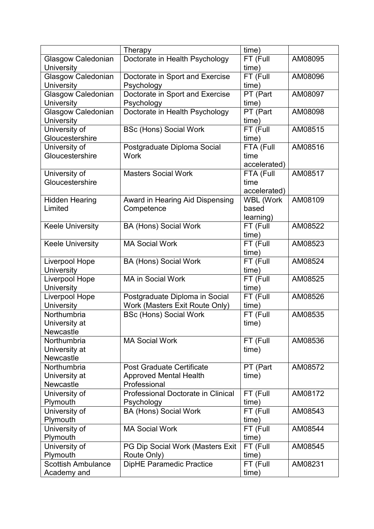|                           | Therapy                            | time)            |         |
|---------------------------|------------------------------------|------------------|---------|
| Glasgow Caledonian        | Doctorate in Health Psychology     | FT (Full         | AM08095 |
| University                |                                    | time)            |         |
| Glasgow Caledonian        | Doctorate in Sport and Exercise    | FT (Full         | AM08096 |
| <b>University</b>         | Psychology                         | time)            |         |
| Glasgow Caledonian        | Doctorate in Sport and Exercise    | PT (Part         | AM08097 |
| <b>University</b>         | Psychology                         | time)            |         |
| Glasgow Caledonian        | Doctorate in Health Psychology     | PT (Part         | AM08098 |
| University                |                                    | time)            |         |
| University of             | <b>BSc (Hons) Social Work</b>      | FT (Full         | AM08515 |
| Gloucestershire           |                                    | time)            |         |
| University of             | Postgraduate Diploma Social        | FTA (Full        | AM08516 |
| Gloucestershire           | <b>Work</b>                        | time             |         |
|                           |                                    | accelerated)     |         |
| University of             | <b>Masters Social Work</b>         | FTA (Full        | AM08517 |
| Gloucestershire           |                                    | time             |         |
|                           |                                    | accelerated)     |         |
| <b>Hidden Hearing</b>     | Award in Hearing Aid Dispensing    | <b>WBL (Work</b> | AM08109 |
| Limited                   | Competence                         | based            |         |
|                           |                                    | learning)        |         |
| <b>Keele University</b>   | <b>BA (Hons) Social Work</b>       | FT (Full         | AM08522 |
|                           |                                    | time)            |         |
| <b>Keele University</b>   | <b>MA Social Work</b>              | FT (Full         | AM08523 |
|                           |                                    | time)            |         |
| <b>Liverpool Hope</b>     | <b>BA (Hons) Social Work</b>       | FT (Full         | AM08524 |
| University                |                                    | time)            |         |
| Liverpool Hope            | <b>MA in Social Work</b>           | FT (Full         | AM08525 |
| <b>University</b>         |                                    | time)            |         |
| Liverpool Hope            | Postgraduate Diploma in Social     | FT (Full         | AM08526 |
| University                | Work (Masters Exit Route Only)     | time)            |         |
| Northumbria               | <b>BSc (Hons) Social Work</b>      | FT (Full         | AM08535 |
| University at             |                                    | time)            |         |
| <b>Newcastle</b>          |                                    |                  |         |
| Northumbria               | <b>MA Social Work</b>              | FT (Full         | AM08536 |
| University at             |                                    | time)            |         |
| <b>Newcastle</b>          |                                    |                  |         |
| Northumbria               | <b>Post Graduate Certificate</b>   | PT (Part         | AM08572 |
| University at             | <b>Approved Mental Health</b>      | time)            |         |
| <b>Newcastle</b>          | Professional                       |                  |         |
| University of             | Professional Doctorate in Clinical | FT (Full         | AM08172 |
| Plymouth                  | Psychology                         | time)            |         |
| University of             | <b>BA (Hons) Social Work</b>       | FT (Full         | AM08543 |
| Plymouth                  |                                    | time)            |         |
| University of             | <b>MA Social Work</b>              | FT (Full         | AM08544 |
| Plymouth                  |                                    | time)            |         |
| University of             | PG Dip Social Work (Masters Exit   | FT (Full         | AM08545 |
| Plymouth                  | Route Only)                        | time)            |         |
| <b>Scottish Ambulance</b> | <b>DipHE Paramedic Practice</b>    | FT (Full         | AM08231 |
| Academy and               |                                    | time)            |         |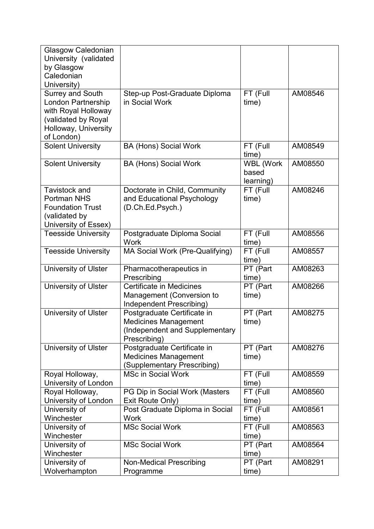| Glasgow Caledonian          |                                                |                   |         |
|-----------------------------|------------------------------------------------|-------------------|---------|
| University (validated       |                                                |                   |         |
| by Glasgow                  |                                                |                   |         |
| Caledonian                  |                                                |                   |         |
| University)                 |                                                |                   |         |
| <b>Surrey and South</b>     | Step-up Post-Graduate Diploma                  | FT (Full          | AM08546 |
| London Partnership          | in Social Work                                 | time)             |         |
| with Royal Holloway         |                                                |                   |         |
| (validated by Royal         |                                                |                   |         |
| Holloway, University        |                                                |                   |         |
| of London)                  |                                                |                   |         |
| <b>Solent University</b>    | <b>BA (Hons) Social Work</b>                   | FT (Full          | AM08549 |
|                             |                                                | time)             |         |
| <b>Solent University</b>    | <b>BA (Hons) Social Work</b>                   | <b>WBL (Work</b>  | AM08550 |
|                             |                                                | based             |         |
|                             |                                                | learning)         |         |
| Tavistock and               | Doctorate in Child, Community                  | FT (Full          | AM08246 |
| <b>Portman NHS</b>          | and Educational Psychology                     | time)             |         |
| <b>Foundation Trust</b>     | (D.Ch.Ed.Psych.)                               |                   |         |
| (validated by               |                                                |                   |         |
| University of Essex)        |                                                |                   |         |
| <b>Teesside University</b>  | Postgraduate Diploma Social                    | FT (Full          | AM08556 |
|                             | Work                                           | time)             |         |
| <b>Teesside University</b>  | MA Social Work (Pre-Qualifying)                | FT (Full          | AM08557 |
|                             |                                                | time)             |         |
| University of Ulster        | Pharmacotherapeutics in                        | PT (Part          | AM08263 |
|                             | Prescribing<br><b>Certificate in Medicines</b> | time)             | AM08266 |
| <b>University of Ulster</b> | Management (Conversion to                      | PT (Part<br>time) |         |
|                             | Independent Prescribing)                       |                   |         |
| <b>University of Ulster</b> | Postgraduate Certificate in                    | PT (Part          | AM08275 |
|                             | <b>Medicines Management</b>                    | time)             |         |
|                             | (Independent and Supplementary                 |                   |         |
|                             | Prescribing)                                   |                   |         |
| <b>University of Ulster</b> | Postgraduate Certificate in                    | PT (Part          | AM08276 |
|                             | <b>Medicines Management</b>                    | time)             |         |
|                             | (Supplementary Prescribing)                    |                   |         |
| Royal Holloway,             | <b>MSc in Social Work</b>                      | FT (Full          | AM08559 |
| University of London        |                                                | time)             |         |
| Royal Holloway,             | PG Dip in Social Work (Masters                 | FT (Full          | AM08560 |
| University of London        | Exit Route Only)                               | time)             |         |
| University of               | Post Graduate Diploma in Social                | FT (Full          | AM08561 |
| Winchester                  | <b>Work</b>                                    | time)             |         |
| University of               | <b>MSc Social Work</b>                         | FT (Full          | AM08563 |
| Winchester                  |                                                | time)             |         |
| University of               | <b>MSc Social Work</b>                         | PT (Part          | AM08564 |
| Winchester                  |                                                | time)             |         |
| University of               | <b>Non-Medical Prescribing</b>                 | PT (Part          | AM08291 |
| Wolverhampton               | Programme                                      | (time             |         |